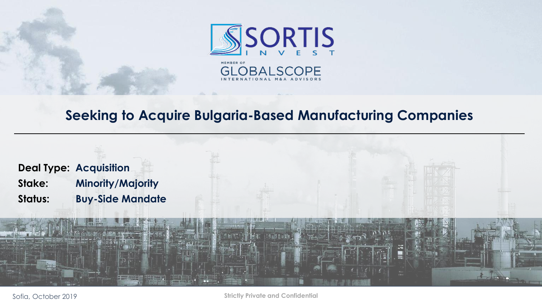

## **Seeking to Acquire Bulgaria-Based Manufacturing Companies**



Sofia, October 2019

**Strictly Private and Confidential**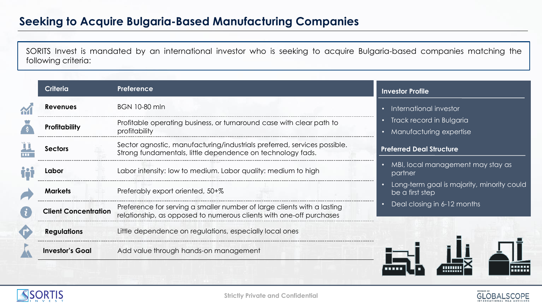## **Seeking to Acquire Bulgaria-Based Manufacturing Companies**

SORITS Invest is mandated by an international investor who is seeking to acquire Bulgaria-based companies matching the following criteria:

| <b>Criteria</b>             | Preference                                                                                                                                     | <b>Investor Profile</b>                                       |  |
|-----------------------------|------------------------------------------------------------------------------------------------------------------------------------------------|---------------------------------------------------------------|--|
| <b>Revenues</b>             | <b>BGN 10-80 mln</b>                                                                                                                           | International investor                                        |  |
| Profitability               | Profitable operating business, or turnaround case with clear path to                                                                           | Track record in Bulgaria                                      |  |
|                             | profitability                                                                                                                                  | <b>Manufacturing expertise</b>                                |  |
| Sectors                     | Sector agnostic, manufacturing/industrials preferred, services possible.<br>Strong fundamentals, little dependence on technology fads.         | <b>Preferred Deal Structure</b>                               |  |
| Labor                       | Labor intensity: low to medium. Labor quality: medium to high                                                                                  | MBI, local management may stay as<br>partner                  |  |
| <b>Markets</b>              | Preferably export oriented, 50+%                                                                                                               | Long-term goal is majority, minority could<br>be a first step |  |
| <b>Client Concentration</b> | Preference for serving a smaller number of large clients with a lasting<br>relationship, as opposed to numerous clients with one-off purchases | Deal closing in 6-12 months                                   |  |
| <b>Regulations</b>          | Little dependence on regulations, especially local ones                                                                                        |                                                               |  |
| <b>Investor's Goal</b>      | Add value through hands-on management                                                                                                          |                                                               |  |